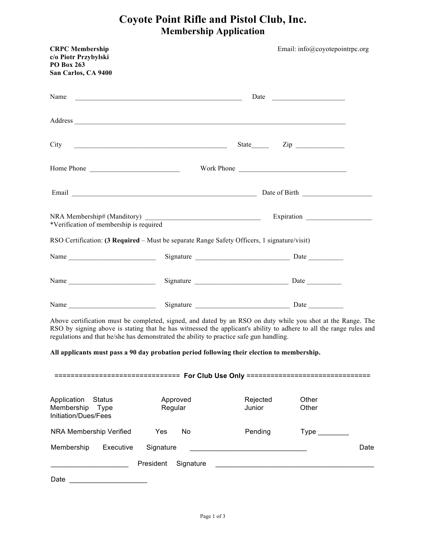## **Coyote Point Rifle and Pistol Club, Inc. Membership Application**

|                                                                                                                                                                                                                                                                                                                             |                        | Work Phone                                                                                                             |                                                             |      |
|-----------------------------------------------------------------------------------------------------------------------------------------------------------------------------------------------------------------------------------------------------------------------------------------------------------------------------|------------------------|------------------------------------------------------------------------------------------------------------------------|-------------------------------------------------------------|------|
|                                                                                                                                                                                                                                                                                                                             |                        |                                                                                                                        |                                                             |      |
| *Verification of membership is required                                                                                                                                                                                                                                                                                     |                        |                                                                                                                        |                                                             |      |
| 562Certification: (3 Required - Must be VHSDURMME Safety Officers 1 signature/YLVLW)                                                                                                                                                                                                                                        |                        |                                                                                                                        |                                                             |      |
|                                                                                                                                                                                                                                                                                                                             |                        |                                                                                                                        |                                                             |      |
|                                                                                                                                                                                                                                                                                                                             |                        |                                                                                                                        |                                                             |      |
|                                                                                                                                                                                                                                                                                                                             |                        |                                                                                                                        |                                                             |      |
| Above certification must be completed, signed, and dated by DC662 on duty while you shot at the Range. The<br>562 by signing above is stating that he has witnessed the applicant's ability to adhere to all the range rules and<br>regulations and that he/she has demonstrated the ability to practice safe gun handling. |                        |                                                                                                                        |                                                             |      |
| All applicants must pass a 60 day probation period following their election to membership.                                                                                                                                                                                                                                  |                        |                                                                                                                        |                                                             |      |
| =============================== For Club Use Only ==============================                                                                                                                                                                                                                                            |                        |                                                                                                                        |                                                             |      |
| Application<br><b>Status</b><br>Membership Type<br>Initiation/Dues/Fees                                                                                                                                                                                                                                                     | Approved<br>Regular    | Rejected<br>Junior                                                                                                     | Other<br>Other                                              |      |
| NRA Membership Verified                                                                                                                                                                                                                                                                                                     | Yes<br>No              | Pending                                                                                                                | $Type \_$                                                   |      |
| Executive<br>Membership                                                                                                                                                                                                                                                                                                     | Signature              | <u> 1989 - Johann Barn, mars ann an t-Amhraich an t-Amhraich ann an t-Amhraich ann an t-Amhraich ann an t-Amhraich</u> |                                                             | Date |
|                                                                                                                                                                                                                                                                                                                             | President<br>Signature |                                                                                                                        | <u> 1989 - Johann Stoff, amerikansk politiker (d. 1989)</u> |      |
|                                                                                                                                                                                                                                                                                                                             |                        |                                                                                                                        |                                                             |      |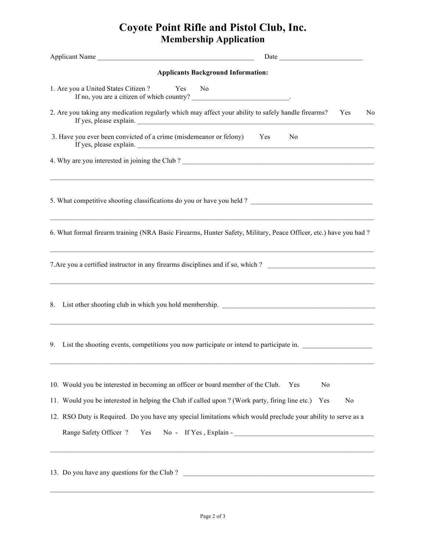## **Coyote Point Rifle and Pistol Club, Inc. Membership Application**

| Applicant Name                                                                                                                                                       | Date has been as a series of the series of the series of the series of the series of the series of the series of the series of the series of the series of the series of the series of the series of the series of the series |
|----------------------------------------------------------------------------------------------------------------------------------------------------------------------|-------------------------------------------------------------------------------------------------------------------------------------------------------------------------------------------------------------------------------|
| <b>Applicants Background Information:</b>                                                                                                                            |                                                                                                                                                                                                                               |
| 1. Are you a United States Citizen ? Yes No                                                                                                                          |                                                                                                                                                                                                                               |
| 2. Are you taking any medication regularly which may affect your ability to safely handle firearms? Yes                                                              | N <sub>0</sub>                                                                                                                                                                                                                |
| 3. Have you ever been convicted of a crime (misdemeanor or felony) Yes                                                                                               | N <sub>0</sub>                                                                                                                                                                                                                |
|                                                                                                                                                                      |                                                                                                                                                                                                                               |
|                                                                                                                                                                      |                                                                                                                                                                                                                               |
| 6. What formal firearm training (NRA Basic Firearms, Hunter Safety, Military, Peace Officer, etc.) have you had?                                                     |                                                                                                                                                                                                                               |
| 7. Are you a certified instructor in any firearms disciplines and if so, which ?<br>,我们也不能在这里的时候,我们也不能在这里的时候,我们也不能不能不能会不能会不能会不能会不能会不能会不能会不能会不能会。""我们的是我们的,我们也不能会不能会不 |                                                                                                                                                                                                                               |
| List other shooting club in which you hold membership. __________________________<br>8.                                                                              |                                                                                                                                                                                                                               |
| List the shooting events, competitions you now participate or intend to participate in.<br>9.                                                                        |                                                                                                                                                                                                                               |
| 10. Would you be interested in becoming an officer or board member of the Club.                                                                                      | N <sub>o</sub><br>Yes                                                                                                                                                                                                         |
| 11. Would you be interested in helping the Club if called upon ? (Work party, firing line etc.)                                                                      | No<br>Yes                                                                                                                                                                                                                     |
| 12. RSO Duty is Required. Do you have any special limitations which would preclude your ability to serve as a                                                        |                                                                                                                                                                                                                               |
| Range Safety Officer ?<br>Yes                                                                                                                                        | $No - If Yes, Explain -$<br>,我们也不会有什么。""我们的人,我们也不会有什么?""我们的人,我们也不会有什么?""我们的人,我们的人,我们的人,我们的人,我们的人,我们的人,我们的人,我                                                                                                                  |
| 13. Do you have any questions for the Club?                                                                                                                          |                                                                                                                                                                                                                               |